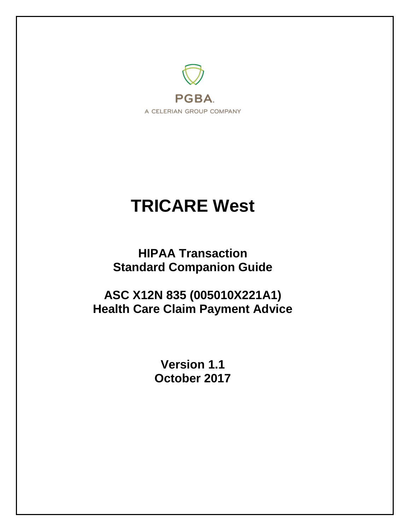

# **TRICARE West**

**HIPAA Transaction Standard Companion Guide**

**ASC X12N 835 (005010X221A1) Health Care Claim Payment Advice**

> **Version 1.1 October 2017**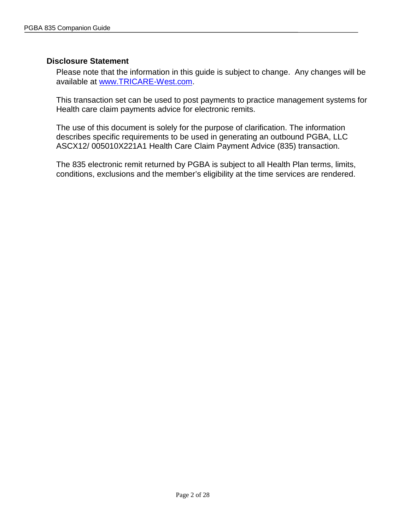#### <span id="page-1-0"></span>**Disclosure Statement**

Please note that the information in this guide is subject to change. Any changes will be available at [www.TRICARE-West.com.](http://www.mytricare.com/)

This transaction set can be used to post payments to practice management systems for Health care claim payments advice for electronic remits.

The use of this document is solely for the purpose of clarification. The information describes specific requirements to be used in generating an outbound PGBA, LLC ASCX12/ 005010X221A1 Health Care Claim Payment Advice (835) transaction.

The 835 electronic remit returned by PGBA is subject to all Health Plan terms, limits, conditions, exclusions and the member's eligibility at the time services are rendered.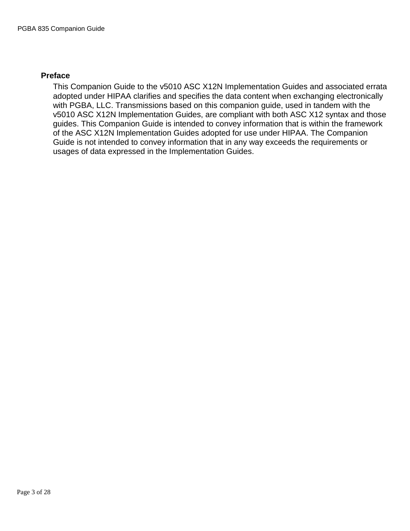#### <span id="page-2-0"></span>**Preface**

This Companion Guide to the v5010 ASC X12N Implementation Guides and associated errata adopted under HIPAA clarifies and specifies the data content when exchanging electronically with PGBA, LLC. Transmissions based on this companion guide, used in tandem with the v5010 ASC X12N Implementation Guides, are compliant with both ASC X12 syntax and those guides. This Companion Guide is intended to convey information that is within the framework of the ASC X12N Implementation Guides adopted for use under HIPAA. The Companion Guide is not intended to convey information that in any way exceeds the requirements or usages of data expressed in the Implementation Guides.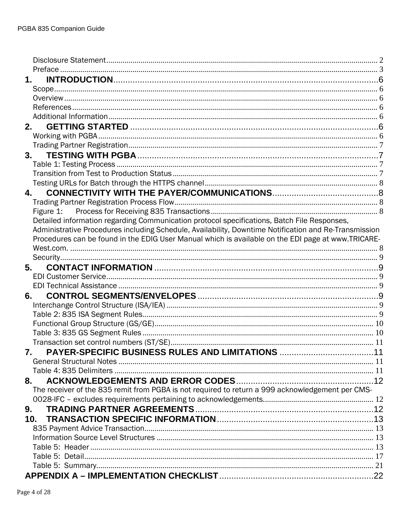| 1.                                                                                                    |  |
|-------------------------------------------------------------------------------------------------------|--|
|                                                                                                       |  |
|                                                                                                       |  |
|                                                                                                       |  |
|                                                                                                       |  |
|                                                                                                       |  |
|                                                                                                       |  |
|                                                                                                       |  |
| 3.                                                                                                    |  |
|                                                                                                       |  |
|                                                                                                       |  |
|                                                                                                       |  |
| 4.                                                                                                    |  |
|                                                                                                       |  |
|                                                                                                       |  |
| Detailed information regarding Communication protocol specifications, Batch File Responses,           |  |
| Administrative Procedures including Schedule, Availability, Downtime Notification and Re-Transmission |  |
| Procedures can be found in the EDIG User Manual which is available on the EDI page at www.TRICARE-    |  |
|                                                                                                       |  |
|                                                                                                       |  |
| 5.                                                                                                    |  |
|                                                                                                       |  |
|                                                                                                       |  |
| 6.                                                                                                    |  |
|                                                                                                       |  |
|                                                                                                       |  |
|                                                                                                       |  |
|                                                                                                       |  |
|                                                                                                       |  |
| 7.                                                                                                    |  |
|                                                                                                       |  |
|                                                                                                       |  |
| 8.                                                                                                    |  |
| The receiver of the 835 remit from PGBA is not required to return a 999 acknowledgement per CMS-      |  |
|                                                                                                       |  |
| 9.                                                                                                    |  |
|                                                                                                       |  |
|                                                                                                       |  |
|                                                                                                       |  |
|                                                                                                       |  |
|                                                                                                       |  |
|                                                                                                       |  |
|                                                                                                       |  |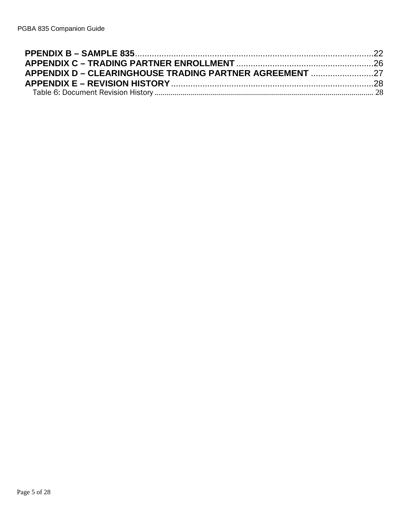| APPENDIX D – CLEARINGHOUSE TRADING PARTNER AGREEMENT 27 |  |
|---------------------------------------------------------|--|
|                                                         |  |
|                                                         |  |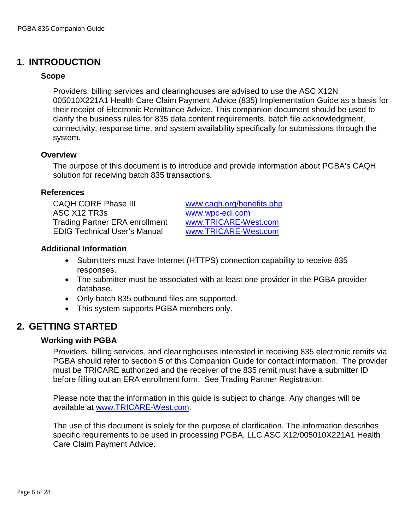# <span id="page-5-1"></span><span id="page-5-0"></span>**1. INTRODUCTION**

#### **Scope**

Providers, billing services and clearinghouses are advised to use the ASC X12N 005010X221A1 Health Care Claim Payment Advice (835) Implementation Guide as a basis for their receipt of Electronic Remittance Advice. This companion document should be used to clarify the business rules for 835 data content requirements, batch file acknowledgment, connectivity, response time, and system availability specifically for submissions through the system.

#### <span id="page-5-2"></span>**Overview**

The purpose of this document is to introduce and provide information about PGBA's CAQH solution for receiving batch 835 transactions.

#### <span id="page-5-3"></span>**References**

CAQH CORE Phase III [www.caqh.org/benefits.php](http://www.caqh.org/benefits.php) ASC X12 TR3s [www.wpc-edi.com](http://www.wpc-edi.com/) Trading Partner ERA enrollment [www.TRICARE-West.com](http://www.mytricare.com/) EDIG Technical User's Manual [www.TRICARE-West.com](http://www.mytricare.com/)

#### <span id="page-5-4"></span>**Additional Information**

- Submitters must have Internet (HTTPS) connection capability to receive 835 responses.
- The submitter must be associated with at least one provider in the PGBA provider database.
- Only batch 835 outbound files are supported.
- This system supports PGBA members only.

## <span id="page-5-6"></span><span id="page-5-5"></span>**2. GETTING STARTED**

#### **Working with PGBA**

Providers, billing services, and clearinghouses interested in receiving 835 electronic remits via PGBA should refer to section 5 of this Companion Guide for contact information. The provider must be TRICARE authorized and the receiver of the 835 remit must have a submitter ID before filling out an ERA enrollment form. See Trading Partner Registration.

Please note that the information in this guide is subject to change. Any changes will be available at [www.TRICARE-West.com.](http://www.mytricare.com/)

The use of this document is solely for the purpose of clarification. The information describes specific requirements to be used in processing PGBA, LLC ASC X12/005010X221A1 Health Care Claim Payment Advice.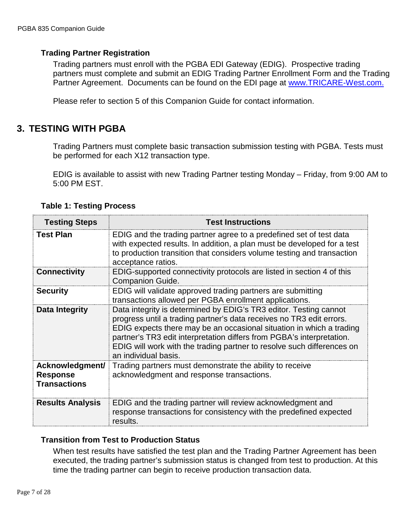## <span id="page-6-0"></span>**Trading Partner Registration**

Trading partners must enroll with the PGBA EDI Gateway (EDIG). Prospective trading partners must complete and submit an EDIG Trading Partner Enrollment Form and the Trading Partner Agreement. Documents can be found on the EDI page at [www.TRICARE-West.com.](http://www.mytricare.com/)

Please refer to section 5 of this Companion Guide for contact information.

## <span id="page-6-1"></span>**3. TESTING WITH PGBA**

Trading Partners must complete basic transaction submission testing with PGBA. Tests must be performed for each X12 transaction type.

EDIG is available to assist with new Trading Partner testing Monday – Friday, from 9:00 AM to 5:00 PM EST.

<span id="page-6-2"></span>

| <b>Testing Steps</b>                                      | <b>Test Instructions</b>                                                                                                                                                                                                                                                                                                                                                                     |
|-----------------------------------------------------------|----------------------------------------------------------------------------------------------------------------------------------------------------------------------------------------------------------------------------------------------------------------------------------------------------------------------------------------------------------------------------------------------|
| <b>Test Plan</b>                                          | EDIG and the trading partner agree to a predefined set of test data<br>with expected results. In addition, a plan must be developed for a test<br>to production transition that considers volume testing and transaction<br>acceptance ratios.                                                                                                                                               |
| <b>Connectivity</b>                                       | EDIG-supported connectivity protocols are listed in section 4 of this<br><b>Companion Guide.</b>                                                                                                                                                                                                                                                                                             |
| <b>Security</b>                                           | EDIG will validate approved trading partners are submitting<br>transactions allowed per PGBA enrollment applications.                                                                                                                                                                                                                                                                        |
| Data Integrity                                            | Data integrity is determined by EDIG's TR3 editor. Testing cannot<br>progress until a trading partner's data receives no TR3 edit errors.<br>EDIG expects there may be an occasional situation in which a trading<br>partner's TR3 edit interpretation differs from PGBA's interpretation.<br>EDIG will work with the trading partner to resolve such differences on<br>an individual basis. |
| Acknowledgment/<br><b>Response</b><br><b>Transactions</b> | Trading partners must demonstrate the ability to receive<br>acknowledgment and response transactions.                                                                                                                                                                                                                                                                                        |
| <b>Results Analysis</b>                                   | EDIG and the trading partner will review acknowledgment and<br>response transactions for consistency with the predefined expected<br>results.                                                                                                                                                                                                                                                |

## **Table 1: Testing Process**

## <span id="page-6-3"></span>**Transition from Test to Production Status**

When test results have satisfied the test plan and the Trading Partner Agreement has been executed, the trading partner's submission status is changed from test to production. At this time the trading partner can begin to receive production transaction data.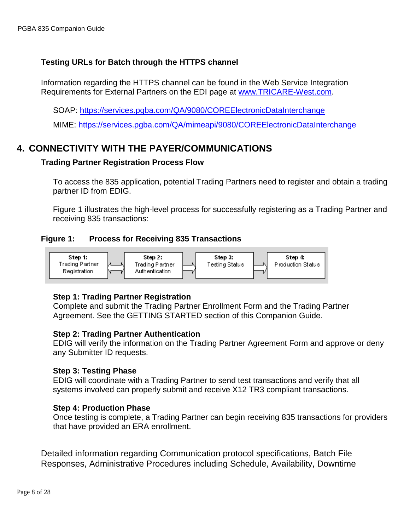## <span id="page-7-0"></span>**Testing URLs for Batch through the HTTPS channel**

Information regarding the HTTPS channel can be found in the Web Service Integration Requirements for External Partners on the EDI page at [www.TRICARE-West.com.](http://www.mytricare.com/)

SOAP: <https://services.pgba.com/QA/9080/COREElectronicDataInterchange>

MIME: <https://services.pgba.com/QA/mimeapi/9080/COREElectronicDataInterchange>

# <span id="page-7-2"></span><span id="page-7-1"></span>**4. CONNECTIVITY WITH THE PAYER/COMMUNICATIONS**

## **Trading Partner Registration Process Flow**

To access the 835 application, potential Trading Partners need to register and obtain a trading partner ID from EDIG.

Figure 1 illustrates the high-level process for successfully registering as a Trading Partner and receiving 835 transactions:

## <span id="page-7-3"></span>**Figure 1: Process for Receiving 835 Transactions**



## **Step 1: Trading Partner Registration**

Complete and submit the Trading Partner Enrollment Form and the Trading Partner Agreement. See the GETTING STARTED section of this Companion Guide.

#### **Step 2: Trading Partner Authentication**

EDIG will verify the information on the Trading Partner Agreement Form and approve or deny any Submitter ID requests.

#### **Step 3: Testing Phase**

EDIG will coordinate with a Trading Partner to send test transactions and verify that all systems involved can properly submit and receive X12 TR3 compliant transactions.

## **Step 4: Production Phase**

Once testing is complete, a Trading Partner can begin receiving 835 transactions for providers that have provided an ERA enrollment.

<span id="page-7-4"></span>Detailed information regarding Communication protocol specifications, Batch File Responses, Administrative Procedures including Schedule, Availability, Downtime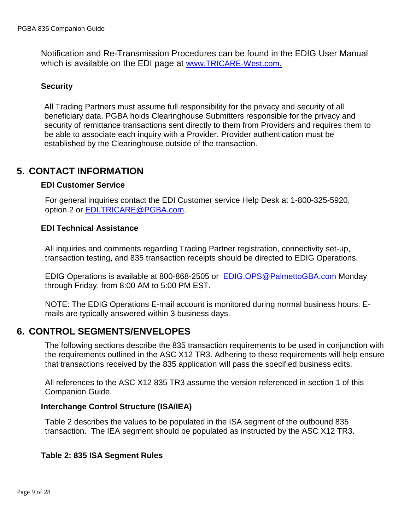Notification and Re-Transmission Procedures can be found in the EDIG User Manual which is available on the EDI page at [www.TRICARE-West.com.](http://www.mytricare.com/)

## <span id="page-8-0"></span>**Security**

All Trading Partners must assume full responsibility for the privacy and security of all beneficiary data. PGBA holds Clearinghouse Submitters responsible for the privacy and security of remittance transactions sent directly to them from Providers and requires them to be able to associate each inquiry with a Provider. Provider authentication must be established by the Clearinghouse outside of the transaction.

## <span id="page-8-2"></span><span id="page-8-1"></span>**5. CONTACT INFORMATION**

#### **EDI Customer Service**

For general inquiries contact the EDI Customer service Help Desk at 1-800-325-5920, option 2 or [EDI.TRICARE@PGBA.com.](mailto:EDI.TRICARE@PGBA.com)

## <span id="page-8-3"></span>**EDI Technical Assistance**

All inquiries and comments regarding Trading Partner registration, connectivity set-up, transaction testing, and 835 transaction receipts should be directed to EDIG Operations.

EDIG Operations is available at 800-868-2505 or [EDIG.OPS@PalmettoGBA.com](mailto:EDIG.OPS@PalmettoGBA.com) Monday through Friday, from 8:00 AM to 5:00 PM EST.

NOTE: The EDIG Operations E-mail account is monitored during normal business hours. Emails are typically answered within 3 business days.

## <span id="page-8-4"></span>**6. CONTROL SEGMENTS/ENVELOPES**

The following sections describe the 835 transaction requirements to be used in conjunction with the requirements outlined in the ASC X12 TR3. Adhering to these requirements will help ensure that transactions received by the 835 application will pass the specified business edits.

All references to the ASC X12 835 TR3 assume the version referenced in section 1 of this Companion Guide.

## <span id="page-8-5"></span>**Interchange Control Structure (ISA/IEA)**

Table 2 describes the values to be populated in the ISA segment of the outbound 835 transaction. The IEA segment should be populated as instructed by the ASC X12 TR3.

## <span id="page-8-6"></span>**Table 2: 835 ISA Segment Rules**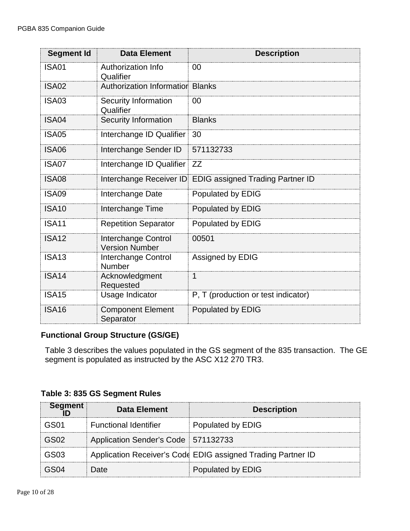| <b>Segment Id</b> | <b>Data Element</b>                          | <b>Description</b>                                       |
|-------------------|----------------------------------------------|----------------------------------------------------------|
| <b>ISA01</b>      | <b>Authorization Info</b><br>Qualifier       | 00                                                       |
| <b>ISA02</b>      | <b>Authorization Information Blanks</b>      |                                                          |
| <b>ISA03</b>      | <b>Security Information</b><br>Qualifier     | 00                                                       |
| ISA04             | <b>Security Information</b>                  | <b>Blanks</b>                                            |
| <b>ISA05</b>      | Interchange ID Qualifier                     | 30                                                       |
| <b>ISA06</b>      | Interchange Sender ID                        | 571132733                                                |
| <b>ISA07</b>      | Interchange ID Qualifier                     | ZZ                                                       |
| <b>ISA08</b>      |                                              | Interchange Receiver ID EDIG assigned Trading Partner ID |
| <b>ISA09</b>      | Interchange Date                             | Populated by EDIG                                        |
| <b>ISA10</b>      | Interchange Time                             | Populated by EDIG                                        |
| <b>ISA11</b>      | <b>Repetition Separator</b>                  | Populated by EDIG                                        |
| <b>ISA12</b>      | Interchange Control<br><b>Version Number</b> | 00501                                                    |
| <b>ISA13</b>      | Interchange Control<br><b>Number</b>         | Assigned by EDIG                                         |
| <b>ISA14</b>      | Acknowledgment<br>Requested                  | 1                                                        |
| <b>ISA15</b>      | Usage Indicator                              | P, T (production or test indicator)                      |
| <b>ISA16</b>      | <b>Component Element</b><br>Separator        | Populated by EDIG                                        |

## <span id="page-9-0"></span>**Functional Group Structure (GS/GE)**

Table 3 describes the values populated in the GS segment of the 835 transaction. The GE segment is populated as instructed by the ASC X12 270 TR3.

<span id="page-9-1"></span>**Table 3: 835 GS Segment Rules**

| <b>Segment</b> | Data Element                        | <b>Description</b>                                           |
|----------------|-------------------------------------|--------------------------------------------------------------|
| GS01           | <b>Functional Identifier</b>        | Populated by EDIG                                            |
| GS02           | Application Sender's Code 571132733 |                                                              |
| GS03           |                                     | Application Receiver's Code EDIG assigned Trading Partner ID |
|                | Date                                | Populated by EDIG                                            |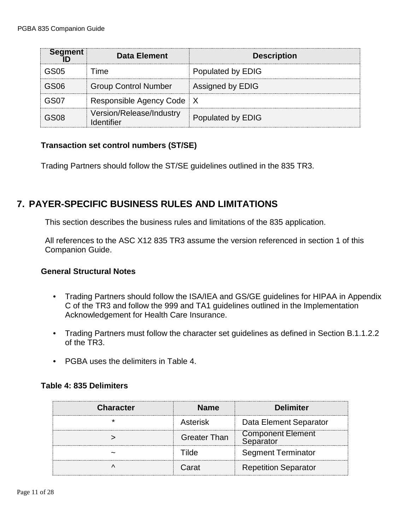| <b>Segment</b> | <b>Data Element</b>                    | <b>Description</b> |
|----------------|----------------------------------------|--------------------|
| GS05           | l ime                                  | Populated by EDIG  |
| GS06           | <b>Group Control Number</b>            | Assigned by EDIG   |
| GS07           | Responsible Agency Code   X            |                    |
| GS08           | Version/Release/Industry<br>Identifier | Populated by EDIG  |

## <span id="page-10-0"></span>**Transaction set control numbers (ST/SE)**

Trading Partners should follow the ST/SE guidelines outlined in the 835 TR3.

# <span id="page-10-1"></span>**7. PAYER-SPECIFIC BUSINESS RULES AND LIMITATIONS**

This section describes the business rules and limitations of the 835 application.

All references to the ASC X12 835 TR3 assume the version referenced in section 1 of this Companion Guide.

## <span id="page-10-2"></span>**General Structural Notes**

- Trading Partners should follow the ISA/IEA and GS/GE guidelines for HIPAA in Appendix C of the TR3 and follow the 999 and TA1 guidelines outlined in the Implementation Acknowledgement for Health Care Insurance.
- Trading Partners must follow the character set guidelines as defined in Section B.1.1.2.2 of the TR3.
- PGBA uses the delimiters in Table 4.

## <span id="page-10-3"></span>**Table 4: 835 Delimiters**

| <b>Character</b> | <b>Name</b>         | <b>Delimiter</b>                      |
|------------------|---------------------|---------------------------------------|
|                  | Asterisk            | Data Element Separator                |
|                  | <b>Greater Than</b> | <b>Component Element</b><br>Separator |
|                  | l ilde              | <b>Segment Terminator</b>             |
|                  | 2r21                | <b>Repetition Separator</b>           |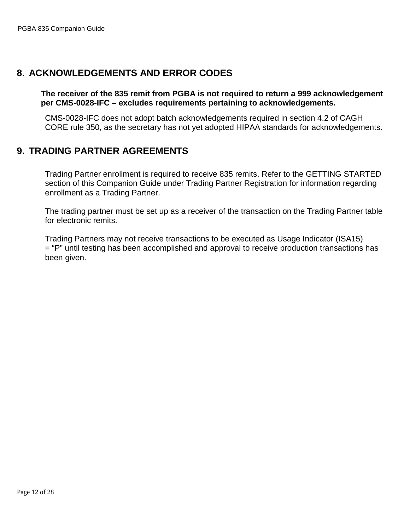## <span id="page-11-1"></span><span id="page-11-0"></span>**8. ACKNOWLEDGEMENTS AND ERROR CODES**

**The receiver of the 835 remit from PGBA is not required to return a 999 acknowledgement per CMS-0028-IFC – excludes requirements pertaining to acknowledgements.**

CMS-0028-IFC does not adopt batch acknowledgements required in section 4.2 of CAGH CORE rule 350, as the secretary has not yet adopted HIPAA standards for acknowledgements.

## <span id="page-11-2"></span>**9. TRADING PARTNER AGREEMENTS**

Trading Partner enrollment is required to receive 835 remits. Refer to the GETTING STARTED section of this Companion Guide under Trading Partner Registration for information regarding enrollment as a Trading Partner.

The trading partner must be set up as a receiver of the transaction on the Trading Partner table for electronic remits.

Trading Partners may not receive transactions to be executed as Usage Indicator (ISA15) = "P" until testing has been accomplished and approval to receive production transactions has been given.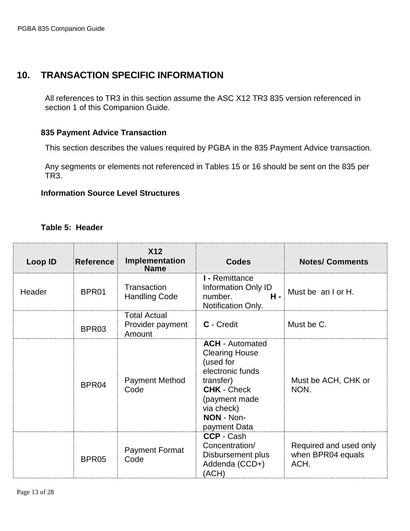# <span id="page-12-0"></span>**10. TRANSACTION SPECIFIC INFORMATION**

All references to TR3 in this section assume the ASC X12 TR3 835 version referenced in section 1 of this Companion Guide.

## <span id="page-12-1"></span>**835 Payment Advice Transaction**

This section describes the values required by PGBA in the 835 Payment Advice transaction.

Any segments or elements not referenced in Tables 15 or 16 should be sent on the 835 per TR3.

## <span id="page-12-2"></span>**Information Source Level Structures**

#### **Table 5: Header**

<span id="page-12-3"></span>

| <b>Loop ID</b> | <b>Reference</b> | <b>X12</b><br>Implementation<br><b>Name</b>       | <b>Codes</b>                                                                                                                                                                     | <b>Notes/ Comments</b>                              |
|----------------|------------------|---------------------------------------------------|----------------------------------------------------------------------------------------------------------------------------------------------------------------------------------|-----------------------------------------------------|
| Header         | BPR01            | Transaction<br><b>Handling Code</b>               | I - Remittance<br><b>Information Only ID</b><br>$H -$<br>number.<br>Notification Only.                                                                                           | Must be an I or H.                                  |
|                | BPR03            | <b>Total Actual</b><br>Provider payment<br>Amount | C - Credit                                                                                                                                                                       | Must be C.                                          |
|                | BPR04            | <b>Payment Method</b><br>Code                     | <b>ACH</b> - Automated<br><b>Clearing House</b><br>(used for<br>electronic funds<br>transfer)<br><b>CHK - Check</b><br>(payment made<br>via check)<br>NON - Non-<br>payment Data | Must be ACH, CHK or<br>NON.                         |
|                | BPR05            | <b>Payment Format</b><br>Code                     | <b>CCP - Cash</b><br>Concentration/<br>Disbursement plus<br>Addenda (CCD+)<br>(ACH)                                                                                              | Required and used only<br>when BPR04 equals<br>ACH. |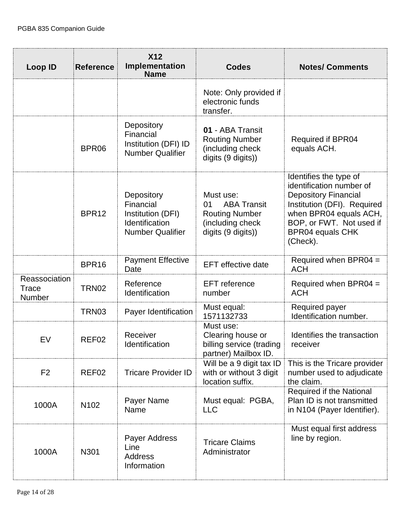| <b>Loop ID</b>                   | <b>Reference</b>  | <b>X12</b><br>Implementation<br><b>Name</b>                                               | <b>Codes</b>                                                                                             | <b>Notes/ Comments</b>                                                                                                                                                                                        |
|----------------------------------|-------------------|-------------------------------------------------------------------------------------------|----------------------------------------------------------------------------------------------------------|---------------------------------------------------------------------------------------------------------------------------------------------------------------------------------------------------------------|
|                                  |                   |                                                                                           | Note: Only provided if<br>electronic funds<br>transfer.                                                  |                                                                                                                                                                                                               |
|                                  | BPR06             | Depository<br>Financial<br>Institution (DFI) ID<br><b>Number Qualifier</b>                | 01 - ABA Transit<br><b>Routing Number</b><br>(including check<br>digits (9 digits))                      | <b>Required if BPR04</b><br>equals ACH.                                                                                                                                                                       |
|                                  | BPR <sub>12</sub> | Depository<br>Financial<br>Institution (DFI)<br>Identification<br><b>Number Qualifier</b> | Must use:<br><b>ABA Transit</b><br>01<br><b>Routing Number</b><br>(including check<br>digits (9 digits)) | Identifies the type of<br>identification number of<br><b>Depository Financial</b><br>Institution (DFI). Required<br>when BPR04 equals ACH,<br>BOP, or FWT. Not used if<br><b>BPR04 equals CHK</b><br>(Check). |
|                                  | BPR16             | <b>Payment Effective</b><br>Date                                                          | <b>EFT</b> effective date                                                                                | Required when BPR04 =<br><b>ACH</b>                                                                                                                                                                           |
| Reassociation<br>Trace<br>Number | TRN <sub>02</sub> | Reference<br>Identification                                                               | EFT reference<br>number                                                                                  | Required when BPR04 $=$<br><b>ACH</b>                                                                                                                                                                         |
|                                  | TRN03             | Payer Identification                                                                      | Must equal:<br>1571132733                                                                                | Required payer<br>Identification number.                                                                                                                                                                      |
| EV                               | REF02             | Receiver<br>Identification                                                                | Must use:<br>Clearing house or<br>billing service (trading<br>partner) Mailbox ID.                       | Identifies the transaction<br>receiver                                                                                                                                                                        |
| F <sub>2</sub>                   | REF <sub>02</sub> | <b>Tricare Provider ID</b>                                                                | Will be a 9 digit tax ID<br>with or without 3 digit<br>location suffix.                                  | This is the Tricare provider<br>number used to adjudicate<br>the claim.                                                                                                                                       |
| 1000A                            | N <sub>102</sub>  | Payer Name<br>Name                                                                        | Must equal: PGBA,<br><b>LLC</b>                                                                          | Required if the National<br>Plan ID is not transmitted<br>in N104 (Payer Identifier).                                                                                                                         |
| 1000A                            | N301              | Payer Address<br>Line<br>Address<br>Information                                           | <b>Tricare Claims</b><br>Administrator                                                                   | Must equal first address<br>line by region.                                                                                                                                                                   |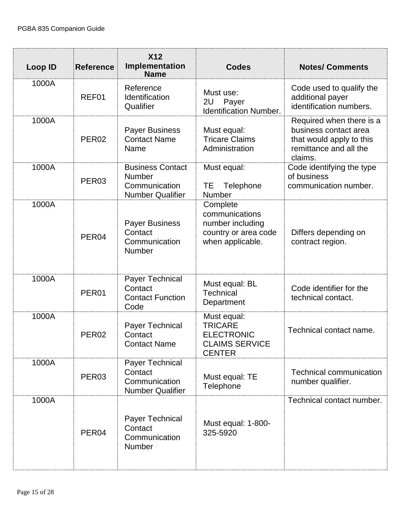| <b>Loop ID</b> | <b>Reference</b>  | <b>X12</b><br>Implementation<br><b>Name</b>                                          | <b>Codes</b>                                                                                 | <b>Notes/ Comments</b>                                                                                             |
|----------------|-------------------|--------------------------------------------------------------------------------------|----------------------------------------------------------------------------------------------|--------------------------------------------------------------------------------------------------------------------|
| 1000A          | REF01             | Reference<br>Identification<br>Qualifier                                             | Must use:<br>Payer<br>2U<br><b>Identification Number.</b>                                    | Code used to qualify the<br>additional payer<br>identification numbers.                                            |
| 1000A          | PER <sub>02</sub> | <b>Payer Business</b><br><b>Contact Name</b><br>Name                                 | Must equal:<br><b>Tricare Claims</b><br>Administration                                       | Required when there is a<br>business contact area<br>that would apply to this<br>remittance and all the<br>claims. |
| 1000A          | PER <sub>03</sub> | <b>Business Contact</b><br><b>Number</b><br>Communication<br><b>Number Qualifier</b> | Must equal:<br>ТE<br>Telephone<br><b>Number</b>                                              | Code identifying the type<br>of business<br>communication number.                                                  |
| 1000A          | PER04             | <b>Payer Business</b><br>Contact<br>Communication<br>Number                          | Complete<br>communications<br>number including<br>country or area code<br>when applicable.   | Differs depending on<br>contract region.                                                                           |
| 1000A          | PER01             | Payer Technical<br>Contact<br><b>Contact Function</b><br>Code                        | Must equal: BL<br><b>Technical</b><br>Department                                             | Code identifier for the<br>technical contact.                                                                      |
| 1000A          | PER <sub>02</sub> | <b>Payer Technical</b><br>Contact<br><b>Contact Name</b>                             | Must equal:<br><b>TRICARE</b><br><b>ELECTRONIC</b><br><b>CLAIMS SERVICE</b><br><b>CENTER</b> | Technical contact name.                                                                                            |
| 1000A          | PER <sub>03</sub> | Payer Technical<br>Contact<br>Communication<br><b>Number Qualifier</b>               | Must equal: TE<br>Telephone                                                                  | <b>Technical communication</b><br>number qualifier.                                                                |
| 1000A          | PER <sub>04</sub> | Payer Technical<br>Contact<br>Communication<br>Number                                | Must equal: 1-800-<br>325-5920                                                               | Technical contact number.                                                                                          |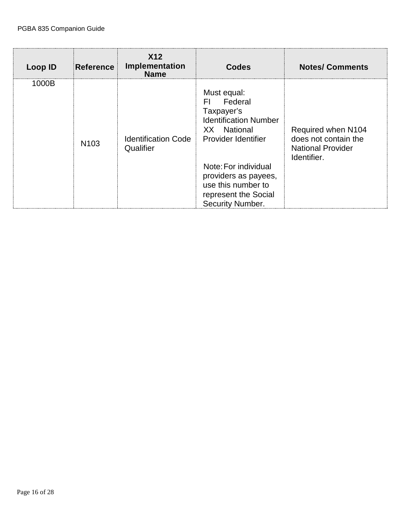| <b>Loop ID</b> | <b>Reference</b> | X <sub>12</sub><br>Implementation<br><b>Name</b> | <b>Codes</b>                                                                                                                                                                                                                        | <b>Notes/ Comments</b>                                                                |
|----------------|------------------|--------------------------------------------------|-------------------------------------------------------------------------------------------------------------------------------------------------------------------------------------------------------------------------------------|---------------------------------------------------------------------------------------|
| 1000B          | N <sub>103</sub> | <b>Identification Code</b><br>Qualifier          | Must equal:<br>Federal<br>EL.<br>Taxpayer's<br><b>Identification Number</b><br>XX National<br>Provider Identifier<br>Note: For individual<br>providers as payees,<br>use this number to<br>represent the Social<br>Security Number. | Required when N104<br>does not contain the<br><b>National Provider</b><br>Identifier. |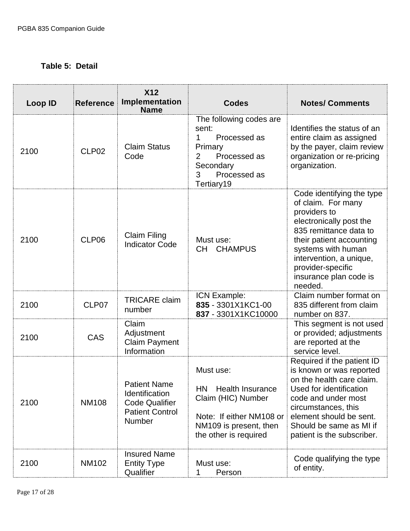## <span id="page-16-0"></span>**Table 5: Detail**

| Loop ID | <b>Reference</b>  | <b>X12</b><br>Implementation<br><b>Name</b>                                                        | <b>Codes</b>                                                                                                                                           | <b>Notes/ Comments</b>                                                                                                                                                                                                                                      |
|---------|-------------------|----------------------------------------------------------------------------------------------------|--------------------------------------------------------------------------------------------------------------------------------------------------------|-------------------------------------------------------------------------------------------------------------------------------------------------------------------------------------------------------------------------------------------------------------|
| 2100    | CLP <sub>02</sub> | <b>Claim Status</b><br>Code                                                                        | The following codes are<br>sent:<br>Processed as<br>1<br>Primary<br>$\overline{2}$<br>Processed as<br>Secondary<br>Processed as<br>3<br>Tertiary19     | Identifies the status of an<br>entire claim as assigned<br>by the payer, claim review<br>organization or re-pricing<br>organization.                                                                                                                        |
| 2100    | CLP06             | <b>Claim Filing</b><br><b>Indicator Code</b>                                                       | Must use:<br><b>CHAMPUS</b><br>CH                                                                                                                      | Code identifying the type<br>of claim. For many<br>providers to<br>electronically post the<br>835 remittance data to<br>their patient accounting<br>systems with human<br>intervention, a unique,<br>provider-specific<br>insurance plan code is<br>needed. |
| 2100    | CLP07             | <b>TRICARE</b> claim<br>number                                                                     | ICN Example:<br>835 - 3301X1KC1-00<br>837 - 3301X1KC10000                                                                                              | Claim number format on<br>835 different from claim<br>number on 837.                                                                                                                                                                                        |
| 2100    | CAS               | Claim<br>Adjustment<br><b>Claim Payment</b><br>Information                                         |                                                                                                                                                        | This segment is not used<br>or provided; adjustments<br>are reported at the<br>service level.                                                                                                                                                               |
| 2100    | <b>NM108</b>      | <b>Patient Name</b><br>Identification<br><b>Code Qualifier</b><br><b>Patient Control</b><br>Number | Must use:<br><b>HN</b><br><b>Health Insurance</b><br>Claim (HIC) Number<br>Note: If either NM108 or<br>NM109 is present, then<br>the other is required | Required if the patient ID<br>is known or was reported<br>on the health care claim.<br>Used for identification<br>code and under most<br>circumstances, this<br>element should be sent.<br>Should be same as MI if<br>patient is the subscriber.            |
| 2100    | <b>NM102</b>      | <b>Insured Name</b><br><b>Entity Type</b><br>Qualifier                                             | Must use:<br>Person                                                                                                                                    | Code qualifying the type<br>of entity.                                                                                                                                                                                                                      |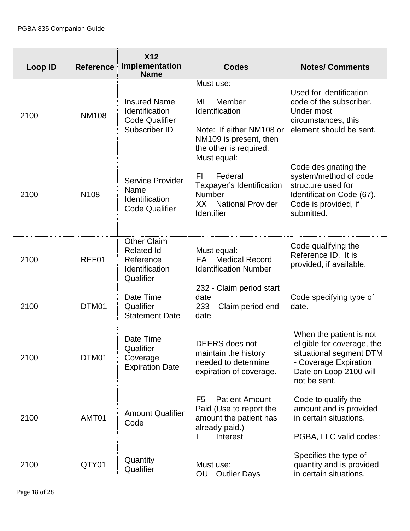| <b>Loop ID</b> | <b>Reference</b> | <b>X12</b><br>Implementation<br><b>Name</b>                                         | <b>Codes</b>                                                                                                                | <b>Notes/ Comments</b>                                                                                                                              |
|----------------|------------------|-------------------------------------------------------------------------------------|-----------------------------------------------------------------------------------------------------------------------------|-----------------------------------------------------------------------------------------------------------------------------------------------------|
| 2100           | <b>NM108</b>     | <b>Insured Name</b><br>Identification<br><b>Code Qualifier</b><br>Subscriber ID     | Must use:<br>Member<br>ΜI<br>Identification<br>Note: If either NM108 or<br>NM109 is present, then<br>the other is required. | Used for identification<br>code of the subscriber.<br>Under most<br>circumstances, this<br>element should be sent.                                  |
| 2100           | N <sub>108</sub> | Service Provider<br>Name<br>Identification<br><b>Code Qualifier</b>                 | Must equal:<br>Federal<br>FI.<br>Taxpayer's Identification<br>Number<br><b>National Provider</b><br>XX<br>Identifier        | Code designating the<br>system/method of code<br>structure used for<br>Identification Code (67).<br>Code is provided, if<br>submitted.              |
| 2100           | REF01            | <b>Other Claim</b><br><b>Related Id</b><br>Reference<br>Identification<br>Qualifier | Must equal:<br><b>Medical Record</b><br>EA<br><b>Identification Number</b>                                                  | Code qualifying the<br>Reference ID. It is<br>provided, if available.                                                                               |
| 2100           | DTM01            | Date Time<br>Qualifier<br><b>Statement Date</b>                                     | 232 - Claim period start<br>date<br>233 – Claim period end<br>date                                                          | Code specifying type of<br>date.                                                                                                                    |
| 2100           | DTM01            | Date Time<br>Qualifier<br>Coverage<br><b>Expiration Date</b>                        | <b>DEERS</b> does not<br>maintain the history<br>needed to determine<br>expiration of coverage.                             | When the patient is not<br>eligible for coverage, the<br>situational segment DTM<br>- Coverage Expiration<br>Date on Loop 2100 will<br>not be sent. |
| 2100           | AMT01            | <b>Amount Qualifier</b><br>Code                                                     | F <sub>5</sub><br><b>Patient Amount</b><br>Paid (Use to report the<br>amount the patient has<br>already paid.)<br>Interest  | Code to qualify the<br>amount and is provided<br>in certain situations.<br>PGBA, LLC valid codes:                                                   |
| 2100           | QTY01            | Quantity<br>Qualifier                                                               | Must use:<br>OU<br><b>Outlier Days</b>                                                                                      | Specifies the type of<br>quantity and is provided<br>in certain situations.                                                                         |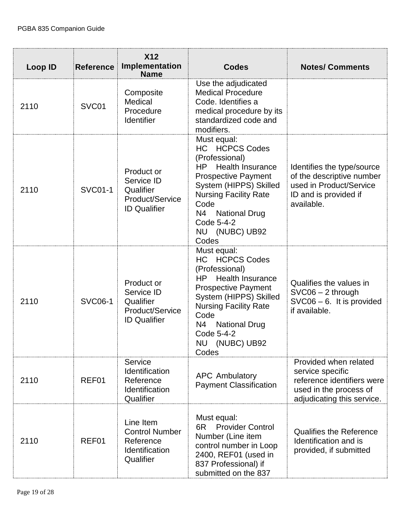| <b>Loop ID</b> | <b>Reference</b> | <b>X12</b><br>Implementation<br><b>Name</b>                                     | <b>Codes</b>                                                                                                                                                                                                                                                              | <b>Notes/ Comments</b>                                                                                                          |
|----------------|------------------|---------------------------------------------------------------------------------|---------------------------------------------------------------------------------------------------------------------------------------------------------------------------------------------------------------------------------------------------------------------------|---------------------------------------------------------------------------------------------------------------------------------|
| 2110           | SVC01            | Composite<br>Medical<br>Procedure<br>Identifier                                 | Use the adjudicated<br><b>Medical Procedure</b><br>Code. Identifies a<br>medical procedure by its<br>standardized code and<br>modifiers.                                                                                                                                  |                                                                                                                                 |
| 2110           | <b>SVC01-1</b>   | Product or<br>Service ID<br>Qualifier<br>Product/Service<br><b>ID Qualifier</b> | Must equal:<br><b>HC HCPCS Codes</b><br>(Professional)<br>HP.<br><b>Health Insurance</b><br><b>Prospective Payment</b><br>System (HIPPS) Skilled<br><b>Nursing Facility Rate</b><br>Code<br>N4<br><b>National Drug</b><br>Code 5-4-2<br>NU (NUBC) UB92<br>Codes           | Identifies the type/source<br>of the descriptive number<br>used in Product/Service<br>ID and is provided if<br>available.       |
| 2110           | <b>SVC06-1</b>   | Product or<br>Service ID<br>Qualifier<br>Product/Service<br><b>ID Qualifier</b> | Must equal:<br><b>HC HCPCS Codes</b><br>(Professional)<br><b>Health Insurance</b><br>HP.<br><b>Prospective Payment</b><br>System (HIPPS) Skilled<br><b>Nursing Facility Rate</b><br>Code<br>N4<br><b>National Drug</b><br>Code 5-4-2<br><b>NU</b><br>(NUBC) UB92<br>Codes | Qualifies the values in<br>$SVC06 - 2$ through<br>$SVC06 - 6$ . It is provided<br>if available.                                 |
| 2110           | REF01            | Service<br>Identification<br>Reference<br>Identification<br>Qualifier           | <b>APC Ambulatory</b><br><b>Payment Classification</b>                                                                                                                                                                                                                    | Provided when related<br>service specific<br>reference identifiers were<br>used in the process of<br>adjudicating this service. |
| 2110           | REF01            | Line Item<br><b>Control Number</b><br>Reference<br>Identification<br>Qualifier  | Must equal:<br><b>Provider Control</b><br>6R<br>Number (Line item<br>control number in Loop<br>2400, REF01 (used in<br>837 Professional) if<br>submitted on the 837                                                                                                       | <b>Qualifies the Reference</b><br>Identification and is<br>provided, if submitted                                               |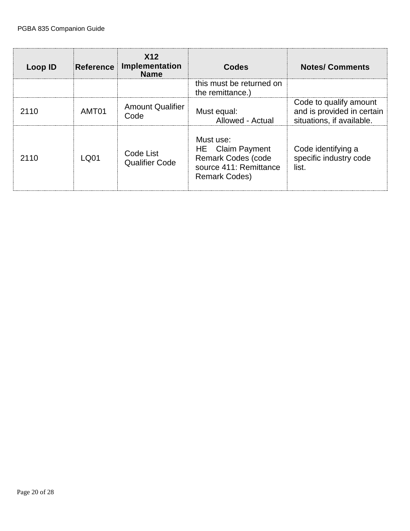| Loop ID | Reference | X12<br><b>Implementation</b><br><b>Name</b> | Codes                                                                                                        | <b>Notes/ Comments</b>                                                            |
|---------|-----------|---------------------------------------------|--------------------------------------------------------------------------------------------------------------|-----------------------------------------------------------------------------------|
|         |           |                                             | this must be returned on<br>the remittance.)                                                                 |                                                                                   |
| 2110    | AMT01     | <b>Amount Qualifier</b><br>Code             | Must equal:<br>Allowed - Actual                                                                              | Code to qualify amount<br>and is provided in certain<br>situations, if available. |
| 2110    | LQ01      | Code List<br><b>Qualifier Code</b>          | Must use:<br>HE Claim Payment<br><b>Remark Codes (code</b><br>source 411: Remittance<br><b>Remark Codes)</b> | Code identifying a<br>specific industry code<br>list.                             |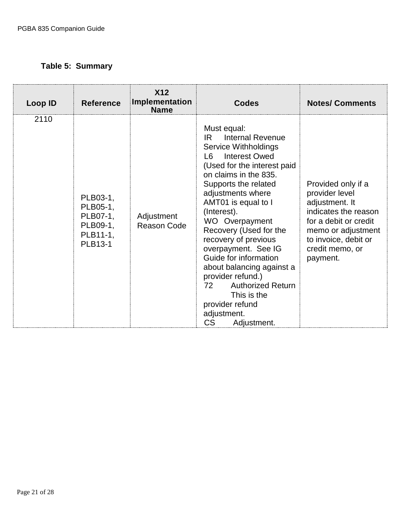# <span id="page-20-0"></span>**Table 5: Summary**

| Loop ID | <b>Reference</b>                                                    | <b>X12</b><br>Implementation<br><b>Name</b> | <b>Codes</b>                                                                                                                                                                                                                                                                                                                                                                                                                                                                                                                 | <b>Notes/ Comments</b>                                                                                                                                                               |
|---------|---------------------------------------------------------------------|---------------------------------------------|------------------------------------------------------------------------------------------------------------------------------------------------------------------------------------------------------------------------------------------------------------------------------------------------------------------------------------------------------------------------------------------------------------------------------------------------------------------------------------------------------------------------------|--------------------------------------------------------------------------------------------------------------------------------------------------------------------------------------|
| 2110    | PLB03-1,<br>PLB05-1,<br>PLB07-1,<br>PLB09-1,<br>PLB11-1,<br>PLB13-1 | Adjustment<br><b>Reason Code</b>            | Must equal:<br>Internal Revenue<br>IR<br><b>Service Withholdings</b><br><b>Interest Owed</b><br>16.<br>(Used for the interest paid<br>on claims in the 835.<br>Supports the related<br>adjustments where<br>AMT01 is equal to I<br>(Interest).<br>WO Overpayment<br>Recovery (Used for the<br>recovery of previous<br>overpayment. See IG<br>Guide for information<br>about balancing against a<br>provider refund.)<br>72<br><b>Authorized Return</b><br>This is the<br>provider refund<br>adjustment.<br>CS<br>Adjustment. | Provided only if a<br>provider level<br>adjustment. It<br>indicates the reason<br>for a debit or credit<br>memo or adjustment<br>to invoice, debit or<br>credit memo, or<br>payment. |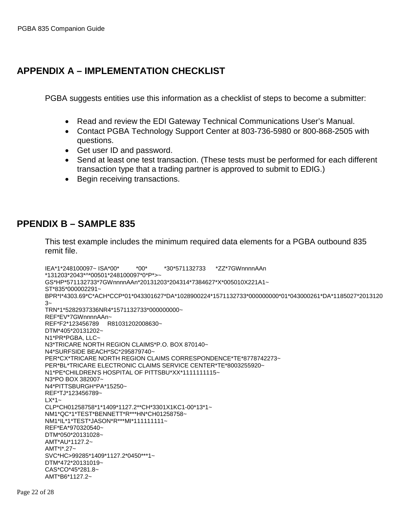# <span id="page-21-0"></span>**APPENDIX A – IMPLEMENTATION CHECKLIST**

PGBA suggests entities use this information as a checklist of steps to become a submitter:

- Read and review the EDI Gateway Technical Communications User's Manual.
- Contact PGBA Technology Support Center at 803-736-5980 or 800-868-2505 with questions.
- Get user ID and password.
- Send at least one test transaction. (These tests must be performed for each different transaction type that a trading partner is approved to submit to EDIG.)
- Begin receiving transactions.

## <span id="page-21-1"></span>**PPENDIX B – SAMPLE 835**

This test example includes the minimum required data elements for a PGBA outbound 835 remit file.

IEA\*1\*248100097~ ISA\*00\* \*00\* \*30\*571132733 \*ZZ\*7GWnnnnAAn \*131203\*2043\*^\*00501\*248100097\*0\*P\*>~ GS\*HP\*571132733\*7GWnnnnAAn\*20131203\*204314\*7384627\*X\*005010X221A1~ ST\*835\*000002291~ BPR\*I\*4303.69\*C\*ACH\*CCP\*01\*043301627\*DA\*1028900224\*1571132733\*000000000\*01\*043000261\*DA\*1185027\*2013120  $3<sub>~</sub>$ TRN\*1\*5282937336NR4\*1571132733\*000000000~ REF\*EV\*7GWnnnnAAn~ REF\*F2\*123456789 R81031202008630~ DTM\*405\*20131202~ N1\*PR\*PGBA, LLC~ N3\*TRICARE NORTH REGION CLAIMS\*P.O. BOX 870140~ N4\*SURFSIDE BEACH\*SC\*295879740~ PER\*CX\*TRICARE NORTH REGION CLAIMS CORRESPONDENCE\*TE\*8778742273~ PER\*BL\*TRICARE ELECTRONIC CLAIMS SERVICE CENTER\*TE\*8003255920~ N1\*PE\*CHILDREN'S HOSPITAL OF PITTSBU\*XX\*1111111115~ N3\*PO BOX 382007~ N4\*PITTSBURGH\*PA\*15250~ REF\*TJ\*123456789~ LX\*1~ CLP\*CH01258758\*1\*1409\*1127.2\*\*CH\*3301X1KC1-00\*13\*1~ NM1\*QC\*1\*TEST\*BENNETT\*R\*\*\*HN\*CH01258758~ NM1\*IL\*1\*TEST\*JASON\*R\*\*\*MI\*111111111~ REF\*EA\*970320540~ DTM\*050\*20131028~ AMT\*AU\*1127.2~ AMT\*I\*.27~ SVC\*HC>99285\*1409\*1127.2\*0450\*\*\*1~ DTM\*472\*20131019~ CAS\*CO\*45\*281.8~ AMT\*B6\*1127.2~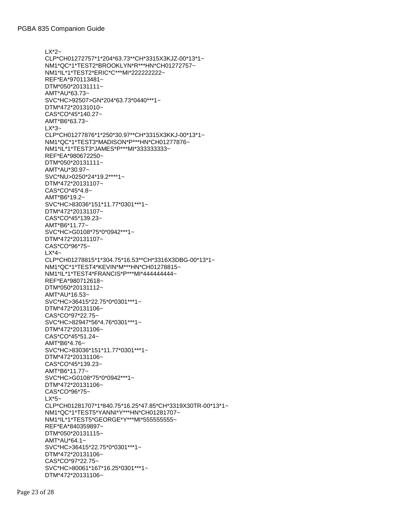LX\*2~ CLP\*CH01272757\*1\*204\*63.73\*\*CH\*3315X3KJZ-00\*13\*1~ NM1\*QC\*1\*TEST2\*BROOKLYN\*R\*\*\*HN\*CH01272757~ NM1\*IL\*1\*TEST2\*ERIC\*C\*\*\*MI\*222222222~ REF\*EA\*970113481~ DTM\*050\*20131111~ AMT\*AU\*63.73~ SVC\*HC>92507>GN\*204\*63.73\*0440\*\*\*1~ DTM\*472\*20131010~ CAS\*CO\*45\*140.27~ AMT\*B6\*63.73~  $LX^*3-$ CLP\*CH01277876\*1\*250\*30.97\*\*CH\*3315X3KKJ-00\*13\*1~ NM1\*QC\*1\*TEST3\*MADISON\*P\*\*\*HN\*CH01277876~ NM1\*IL\*1\*TEST3\*JAMES\*P\*\*\*MI\*333333333~ REF\*EA\*980672250~ DTM\*050\*20131111~ AMT\*AU\*30.97~ SVC\*NU>0250\*24\*19.2\*\*\*\*1~ DTM\*472\*20131107~ CAS\*CO\*45\*4.8~ AMT\*B6\*19.2~ SVC\*HC>83036\*151\*11.77\*0301\*\*\*1~ DTM\*472\*20131107~ CAS\*CO\*45\*139.23~ AMT\*B6\*11.77~ SVC\*HC>G0108\*75\*0\*0942\*\*\*1~ DTM\*472\*20131107~ CAS\*CO\*96\*75~  $LX^*4-$ CLP\*CH01278815\*1\*304.75\*16.53\*\*CH\*3316X3DBG-00\*13\*1~ NM1\*QC\*1\*TEST4\*KEVIN\*M\*\*\*HN\*CH01278815~ NM1\*IL\*1\*TEST4\*FRANCIS\*P\*\*\*MI\*444444444~ REF\*EA\*980712618~ DTM\*050\*20131112~ AMT\*AU\*16.53~ SVC\*HC>36415\*22.75\*0\*0301\*\*\*1~ DTM\*472\*20131106~ CAS\*CO\*97\*22.75~ SVC\*HC>82947\*56\*4.76\*0301\*\*\*1~ DTM\*472\*20131106~ CAS\*CO\*45\*51.24~ AMT\*B6\*4.76~ SVC\*HC>83036\*151\*11.77\*0301\*\*\*1~ DTM\*472\*20131106~ CAS\*CO\*45\*139.23~ AMT\*B6\*11.77~ SVC\*HC>G0108\*75\*0\*0942\*\*\*1~ DTM\*472\*20131106~ CAS\*CO\*96\*75~  $LX*5~$ CLP\*CH01281707\*1\*840.75\*16.25\*47.85\*CH\*3319X30TR-00\*13\*1~ NM1\*QC\*1\*TEST5\*YANNI\*Y\*\*\*HN\*CH01281707~ NM1\*IL\*1\*TEST5\*GEORGE\*Y\*\*\*MI\*555555555~ REF\*EA\*840359897~ DTM\*050\*20131115~ AMT\*AU\*64.1~ SVC\*HC>36415\*22.75\*0\*0301\*\*\*1~ DTM\*472\*20131106~ CAS\*CO\*97\*22.75~ SVC\*HC>80061\*167\*16.25\*0301\*\*\*1~ DTM\*472\*20131106~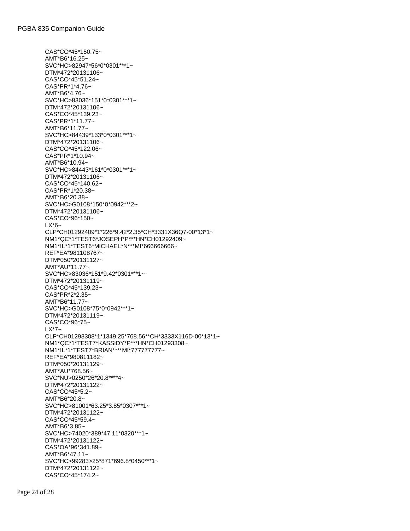CAS\*CO\*45\*150.75~ AMT\*B6\*16.25~ SVC\*HC>82947\*56\*0\*0301\*\*\*1~ DTM\*472\*20131106~ CAS\*CO\*45\*51.24~ CAS\*PR\*1\*4.76~ AMT\*B6\*4.76~ SVC\*HC>83036\*151\*0\*0301\*\*\*1~ DTM\*472\*20131106~ CAS\*CO\*45\*139.23~ CAS\*PR\*1\*11.77~ AMT\*B6\*11.77~ SVC\*HC>84439\*133\*0\*0301\*\*\*1~ DTM\*472\*20131106~ CAS\*CO\*45\*122.06~ CAS\*PR\*1\*10.94~ AMT\*B6\*10.94~ SVC\*HC>84443\*161\*0\*0301\*\*\*1~ DTM\*472\*20131106~ CAS\*CO\*45\*140.62~ CAS\*PR\*1\*20.38~ AMT\*B6\*20.38~ SVC\*HC>G0108\*150\*0\*0942\*\*\*2~ DTM\*472\*20131106~ CAS\*CO\*96\*150~  $LX*6-$ CLP\*CH01292409\*1\*226\*9.42\*2.35\*CH\*3331X36Q7-00\*13\*1~ NM1\*QC\*1\*TEST6\*JOSEPH\*P\*\*\*HN\*CH01292409~ NM1\*IL\*1\*TEST6\*MICHAEL\*N\*\*\*MI\*666666666~ REF\*EA\*981108767~ DTM\*050\*20131127~ AMT\*AU\*11.77~ SVC\*HC>83036\*151\*9.42\*0301\*\*\*1~ DTM\*472\*20131119~ CAS\*CO\*45\*139.23~ CAS\*PR\*2\*2.35~ AMT\*B6\*11.77~ SVC\*HC>G0108\*75\*0\*0942\*\*\*1~ DTM\*472\*20131119~ CAS\*CO\*96\*75~ LX\*7~ CLP\*CH01293308\*1\*1349.25\*768.56\*\*CH\*3333X116D-00\*13\*1~ NM1\*QC\*1\*TEST7\*KASSIDY\*P\*\*\*HN\*CH01293308~ NM1\*IL\*1\*TEST7\*BRIAN\*\*\*\*MI\*777777777~ REF\*EA\*980811182~ DTM\*050\*20131129~ AMT\*AU\*768.56~ SVC\*NU>0250\*26\*20.8\*\*\*\*4~ DTM\*472\*20131122~ CAS\*CO\*45\*5.2~ AMT\*B6\*20.8~ SVC\*HC>81001\*63.25\*3.85\*0307\*\*\*1~ DTM\*472\*20131122~ CAS\*CO\*45\*59.4~ AMT\*B6\*3.85~ SVC\*HC>74020\*389\*47.11\*0320\*\*\*1~ DTM\*472\*20131122~ CAS\*OA\*96\*341.89~ AMT\*B6\*47.11~ SVC\*HC>99283>25\*871\*696.8\*0450\*\*\*1~ DTM\*472\*20131122~ CAS\*CO\*45\*174.2~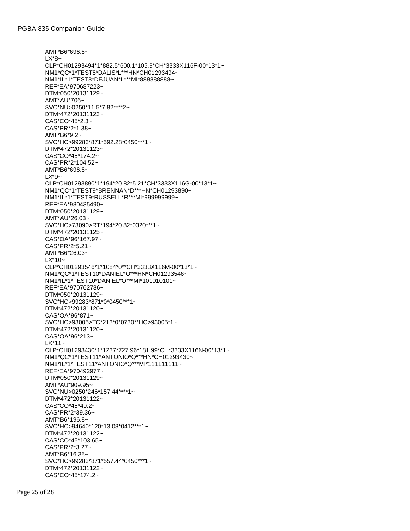```
AMT*B6*696.8~
LX*8~
CLP*CH01293494*1*882.5*600.1*105.9*CH*3333X116F-00*13*1~
NM1*QC*1*TEST8*DALIS*L***HN*CH01293494~
NM1*IL*1*TEST8*DEJUAN*L***MI*888888888~
REF*EA*970687223~
DTM*050*20131129~
AMT*AU*706~
SVC*NU>0250*11.5*7.82****2~
DTM*472*20131123~
CAS*CO*45*2.3~
CAS*PR*2*1.38~
AMT*B6*9.2~
SVC*HC>99283*871*592.28*0450***1~
DTM*472*20131123~
CAS*CO*45*174.2~
CAS*PR*2*104.52~
AMT*B6*696.8~
LX*9~
CLP*CH01293890*1*194*20.82*5.21*CH*3333X116G-00*13*1~
NM1*QC*1*TEST9*BRENNAN*D***HN*CH01293890~
NM1*IL*1*TEST9*RUSSELL*R***MI*999999999~
REF*EA*980435490~
DTM*050*20131129~
AMT*AU*26.03~
SVC*HC>73090>RT*194*20.82*0320***1~
DTM*472*20131125~
CAS*OA*96*167.97~
CAS*PR*2*5.21~
AMT*B6*26.03~
LX^*10-CLP*CH01293546*1*1084*0**CH*3333X116M-00*13*1~
NM1*QC*1*TEST10*DANIEL*O***HN*CH01293546~
NM1*IL*1*TEST10*DANIEL*O***MI*101010101~
REF*EA*970762786~
DTM*050*20131129~
SVC*HC>99283*871*0*0450***1~
DTM*472*20131120~
CAS*OA*96*871~
SVC*HC>93005>TC*213*0*0730**HC>93005*1~
DTM*472*20131120~
CAS*OA*96*213~
LX*11~
CLP*CH01293430*1*1237*727.96*181.99*CH*3333X116N-00*13*1~
NM1*QC*1*TEST11*ANTONIO*Q***HN*CH01293430~
NM1*IL*1*TEST11*ANTONIO*Q***MI*111111111~
REF*EA*970492977~
DTM*050*20131129~
AMT*AU*909.95~
SVC*NU>0250*246*157.44****1~
DTM*472*20131122~
CAS*CO*45*49.2~
CAS*PR*2*39.36~
AMT*B6*196.8~
SVC*HC>94640*120*13.08*0412***1~
DTM*472*20131122~
CAS*CO*45*103.65~
CAS*PR*2*3.27~
AMT*B6*16.35~
SVC*HC>99283*871*557.44*0450***1~
DTM*472*20131122~
CAS*CO*45*174.2~
```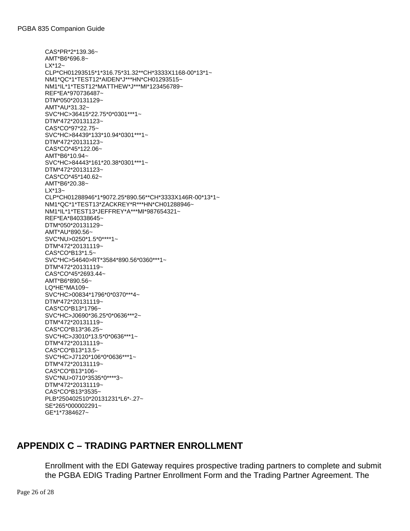CAS\*PR\*2\*139.36~ AMT\*B6\*696.8~ LX\*12~ CLP\*CH01293515\*1\*316.75\*31.32\*\*CH\*3333X1168-00\*13\*1~ NM1\*QC\*1\*TEST12\*AIDEN\*J\*\*\*HN\*CH01293515~ NM1\*IL\*1\*TEST12\*MATTHEW\*J\*\*\*MI\*123456789~ REF\*EA\*970736487~ DTM\*050\*20131129~ AMT\*AU\*31.32~ SVC\*HC>36415\*22.75\*0\*0301\*\*\*1~ DTM\*472\*20131123~ CAS\*CO\*97\*22.75~ SVC\*HC>84439\*133\*10.94\*0301\*\*\*1~ DTM\*472\*20131123~ CAS\*CO\*45\*122.06~ AMT\*B6\*10.94~ SVC\*HC>84443\*161\*20.38\*0301\*\*\*1~ DTM\*472\*20131123~ CAS\*CO\*45\*140.62~ AMT\*B6\*20.38~ LX\*13~ CLP\*CH01288946\*1\*9072.25\*890.56\*\*CH\*3333X146R-00\*13\*1~ NM1\*QC\*1\*TEST13\*ZACKREY\*R\*\*\*HN\*CH01288946~ NM1\*IL\*1\*TEST13\*JEFFREY\*A\*\*\*MI\*987654321~ REF\*EA\*840338645~ DTM\*050\*20131129~ AMT\*AU\*890.56~ SVC\*NU>0250\*1.5\*0\*\*\*\*1~ DTM\*472\*20131119~ CAS\*CO\*B13\*1.5~ SVC\*HC>54640>RT\*3584\*890.56\*0360\*\*\*1~ DTM\*472\*20131119~ CAS\*CO\*45\*2693.44~ AMT\*B6\*890.56~ LQ\*HE\*MA109~ SVC\*HC>00834\*1796\*0\*0370\*\*\*4~ DTM\*472\*20131119~ CAS\*CO\*B13\*1796~ SVC\*HC>J0690\*36.25\*0\*0636\*\*\*2~ DTM\*472\*20131119~ CAS\*CO\*B13\*36.25~ SVC\*HC>J3010\*13.5\*0\*0636\*\*\*1~ DTM\*472\*20131119~ CAS\*CO\*B13\*13.5~ SVC\*HC>J7120\*106\*0\*0636\*\*\*1~ DTM\*472\*20131119~ CAS\*CO\*B13\*106~ SVC\*NU>0710\*3535\*0\*\*\*\*3~ DTM\*472\*20131119~ CAS\*CO\*B13\*3535~ PLB\*250402510\*20131231\*L6\*-.27~ SE\*265\*000002291~ GE\*1\*7384627~

## <span id="page-25-0"></span>**APPENDIX C – TRADING PARTNER ENROLLMENT**

Enrollment with the EDI Gateway requires prospective trading partners to complete and submit the PGBA EDIG Trading Partner Enrollment Form and the Trading Partner Agreement. The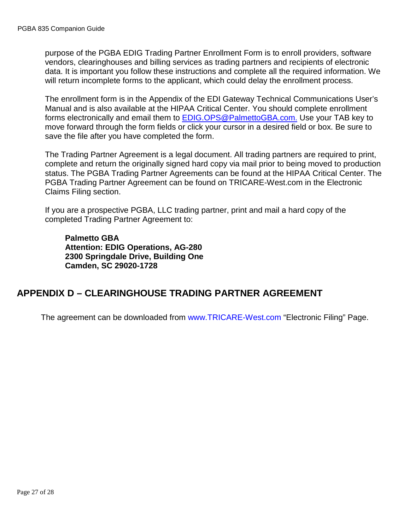purpose of the PGBA EDIG Trading Partner Enrollment Form is to enroll providers, software vendors, clearinghouses and billing services as trading partners and recipients of electronic data. It is important you follow these instructions and complete all the required information. We will return incomplete forms to the applicant, which could delay the enrollment process.

The enrollment form is in the Appendix of the EDI Gateway Technical Communications User's Manual and is also available at the [HIPAA Critical Center.](http://www.hipaacriticalcenter.com/) You should complete enrollment forms electronically and email them to [EDIG.OPS@PalmettoGBA.com.](mailto:EDIG.OPS@PalmettoGBA.com.) Use your TAB key to move forward through the form fields or click your cursor in a desired field or box. Be sure to save the file after you have completed the form.

The Trading Partner Agreement is a legal document. All trading partners are required to print, complete and return the originally signed hard copy via mail prior to being moved to production status. The PGBA Trading Partner Agreements can be found at the [HIPAA Critical Center.](http://www.hipaacriticalcenter.com/) The PGBA Trading Partner Agreement can be found on [TRICARE-West.com](http://www.mytricare.com/) in the Electronic Claims Filing section.

If you are a prospective PGBA, LLC trading partner, print and mail a hard copy of the completed Trading Partner Agreement to:

**Palmetto GBA Attention: EDIG Operations, AG-280 2300 Springdale Drive, Building One Camden, SC 29020-1728**

## <span id="page-26-0"></span>**APPENDIX D – CLEARINGHOUSE TRADING PARTNER AGREEMENT**

The agreement can be downloaded from [www.TRICARE-West.com](http://www.mytricare.com/) "Electronic Filing" Page.